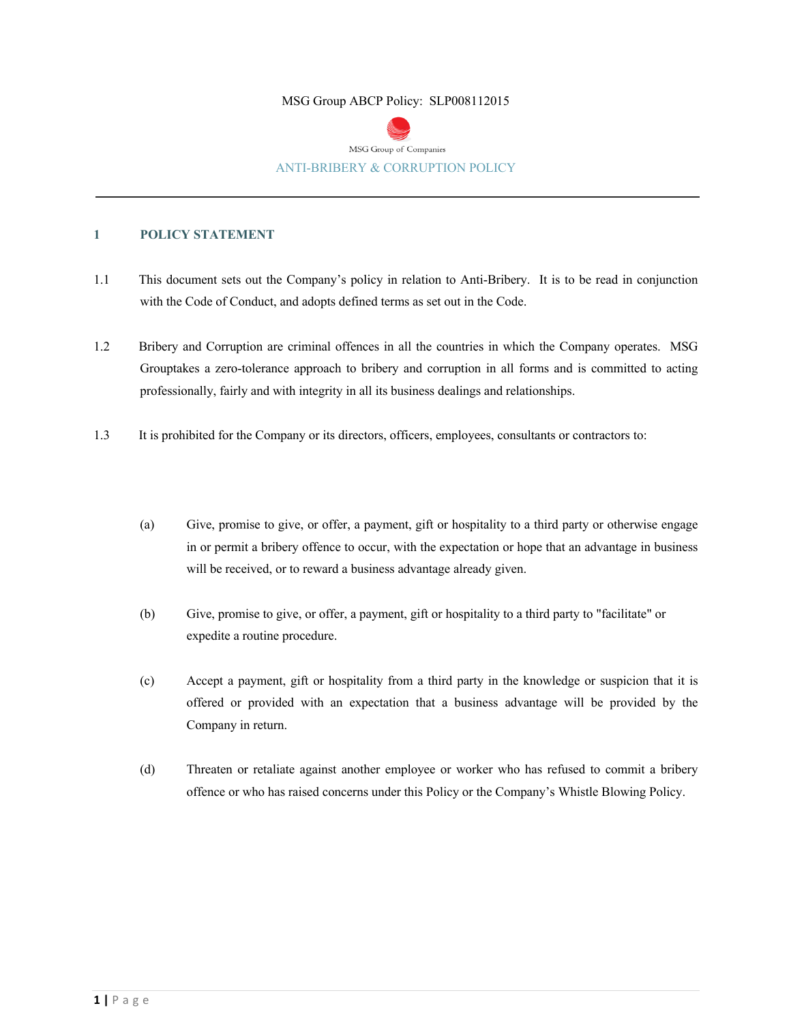### MSG Group ABCP Policy: SLP008112015



## **1 POLICY STATEMENT**

- 1.1 This document sets out the Company's policy in relation to Anti-Bribery. It is to be read in conjunction with the Code of Conduct, and adopts defined terms as set out in the Code.
- 1.2 Bribery and Corruption are criminal offences in all the countries in which the Company operates. MSG Grouptakes a zero-tolerance approach to bribery and corruption in all forms and is committed to acting professionally, fairly and with integrity in all its business dealings and relationships.
- 1.3 It is prohibited for the Company or its directors, officers, employees, consultants or contractors to:
	- (a) Give, promise to give, or offer, a payment, gift or hospitality to a third party or otherwise engage in or permit a bribery offence to occur, with the expectation or hope that an advantage in business will be received, or to reward a business advantage already given.
	- (b) Give, promise to give, or offer, a payment, gift or hospitality to a third party to "facilitate" or expedite a routine procedure.
	- (c) Accept a payment, gift or hospitality from a third party in the knowledge or suspicion that it is offered or provided with an expectation that a business advantage will be provided by the Company in return.
	- (d) Threaten or retaliate against another employee or worker who has refused to commit a bribery offence or who has raised concerns under this Policy or the Company's Whistle Blowing Policy.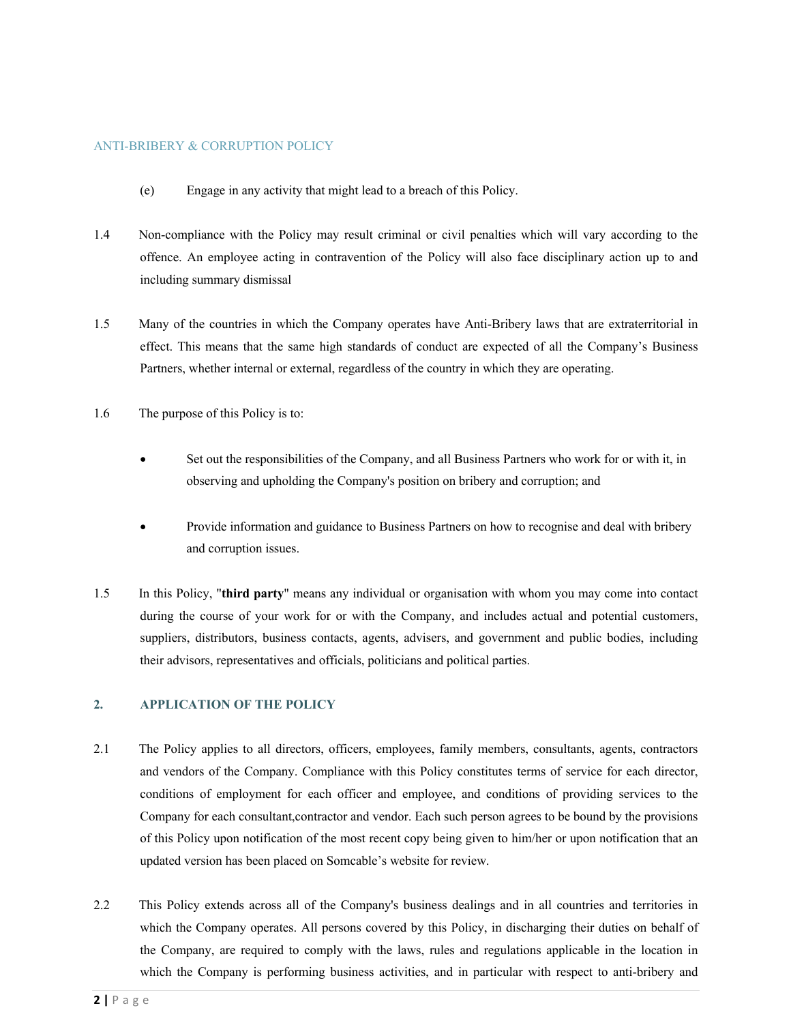### ANTI-BRIBERY & CORRUPTION POLICY

- (e) Engage in any activity that might lead to a breach of this Policy.
- 1.4 Non-compliance with the Policy may result criminal or civil penalties which will vary according to the offence. An employee acting in contravention of the Policy will also face disciplinary action up to and including summary dismissal
- 1.5 Many of the countries in which the Company operates have Anti-Bribery laws that are extraterritorial in effect. This means that the same high standards of conduct are expected of all the Company's Business Partners, whether internal or external, regardless of the country in which they are operating.
- 1.6 The purpose of this Policy is to:
	- Set out the responsibilities of the Company, and all Business Partners who work for or with it, in observing and upholding the Company's position on bribery and corruption; and
	- Provide information and guidance to Business Partners on how to recognise and deal with bribery and corruption issues.
- 1.5 In this Policy, "**third party**" means any individual or organisation with whom you may come into contact during the course of your work for or with the Company, and includes actual and potential customers, suppliers, distributors, business contacts, agents, advisers, and government and public bodies, including their advisors, representatives and officials, politicians and political parties.

### **2. APPLICATION OF THE POLICY**

- 2.1 The Policy applies to all directors, officers, employees, family members, consultants, agents, contractors and vendors of the Company. Compliance with this Policy constitutes terms of service for each director, conditions of employment for each officer and employee, and conditions of providing services to the Company for each consultant,contractor and vendor. Each such person agrees to be bound by the provisions of this Policy upon notification of the most recent copy being given to him/her or upon notification that an updated version has been placed on Somcable's website for review.
- 2.2 This Policy extends across all of the Company's business dealings and in all countries and territories in which the Company operates. All persons covered by this Policy, in discharging their duties on behalf of the Company, are required to comply with the laws, rules and regulations applicable in the location in which the Company is performing business activities, and in particular with respect to anti-bribery and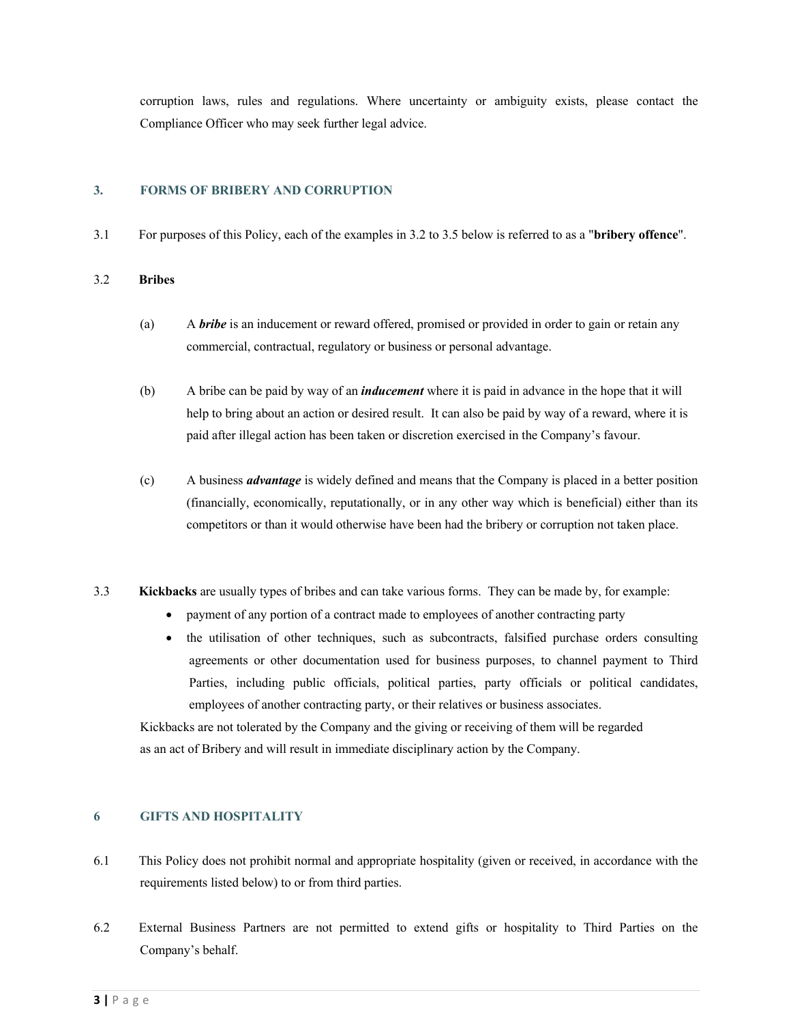corruption laws, rules and regulations. Where uncertainty or ambiguity exists, please contact the Compliance Officer who may seek further legal advice.

## **3. FORMS OF BRIBERY AND CORRUPTION**

3.1 For purposes of this Policy, each of the examples in 3.2 to 3.5 below is referred to as a "**bribery offence**".

### 3.2 **Bribes**

- (a) A *bribe* is an inducement or reward offered, promised or provided in order to gain or retain any commercial, contractual, regulatory or business or personal advantage.
- (b) A bribe can be paid by way of an *inducement* where it is paid in advance in the hope that it will help to bring about an action or desired result. It can also be paid by way of a reward, where it is paid after illegal action has been taken or discretion exercised in the Company's favour.
- (c) A business *advantage* is widely defined and means that the Company is placed in a better position (financially, economically, reputationally, or in any other way which is beneficial) either than its competitors or than it would otherwise have been had the bribery or corruption not taken place.
- 3.3 **Kickbacks** are usually types of bribes and can take various forms. They can be made by, for example:
	- payment of any portion of a contract made to employees of another contracting party
	- the utilisation of other techniques, such as subcontracts, falsified purchase orders consulting agreements or other documentation used for business purposes, to channel payment to Third Parties, including public officials, political parties, party officials or political candidates, employees of another contracting party, or their relatives or business associates.

Kickbacks are not tolerated by the Company and the giving or receiving of them will be regarded as an act of Bribery and will result in immediate disciplinary action by the Company.

# **6 GIFTS AND HOSPITALITY**

- 6.1 This Policy does not prohibit normal and appropriate hospitality (given or received, in accordance with the requirements listed below) to or from third parties.
- 6.2 External Business Partners are not permitted to extend gifts or hospitality to Third Parties on the Company's behalf.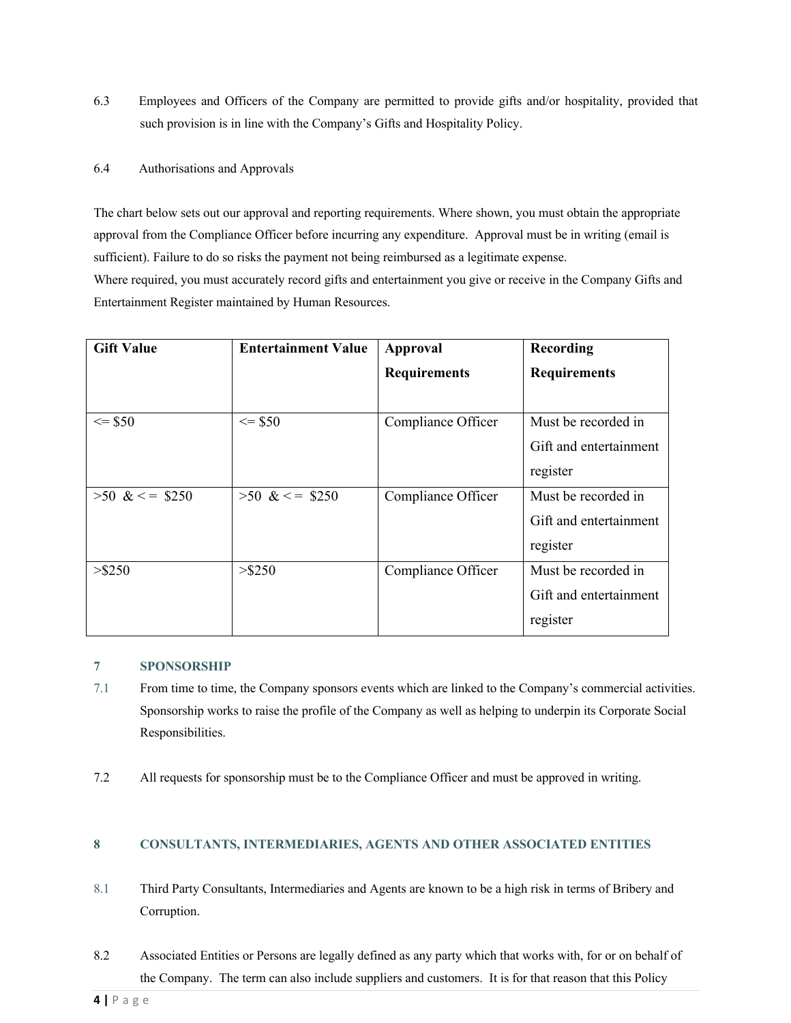- 6.3 Employees and Officers of the Company are permitted to provide gifts and/or hospitality, provided that such provision is in line with the Company's Gifts and Hospitality Policy.
- 6.4 Authorisations and Approvals

The chart below sets out our approval and reporting requirements. Where shown, you must obtain the appropriate approval from the Compliance Officer before incurring any expenditure. Approval must be in writing (email is sufficient). Failure to do so risks the payment not being reimbursed as a legitimate expense. Where required, you must accurately record gifts and entertainment you give or receive in the Company Gifts and

Entertainment Register maintained by Human Resources.

| <b>Gift Value</b> | <b>Entertainment Value</b> | Approval            | Recording              |
|-------------------|----------------------------|---------------------|------------------------|
|                   |                            | <b>Requirements</b> | <b>Requirements</b>    |
|                   |                            |                     |                        |
| $\le$ \$50        | $\le$ \$50                 | Compliance Officer  | Must be recorded in    |
|                   |                            |                     | Gift and entertainment |
|                   |                            |                     | register               |
| $>50$ & < = \$250 | $>50$ & < = \$250          | Compliance Officer  | Must be recorded in    |
|                   |                            |                     | Gift and entertainment |
|                   |                            |                     | register               |
| $>$ \$250         | $>$ \$250                  | Compliance Officer  | Must be recorded in    |
|                   |                            |                     | Gift and entertainment |
|                   |                            |                     | register               |

# **7 SPONSORSHIP**

- 7.1 From time to time, the Company sponsors events which are linked to the Company's commercial activities. Sponsorship works to raise the profile of the Company as well as helping to underpin its Corporate Social Responsibilities.
- 7.2 All requests for sponsorship must be to the Compliance Officer and must be approved in writing.

# **8 CONSULTANTS, INTERMEDIARIES, AGENTS AND OTHER ASSOCIATED ENTITIES**

- 8.1 Third Party Consultants, Intermediaries and Agents are known to be a high risk in terms of Bribery and Corruption.
- 8.2 Associated Entities or Persons are legally defined as any party which that works with, for or on behalf of the Company. The term can also include suppliers and customers. It is for that reason that this Policy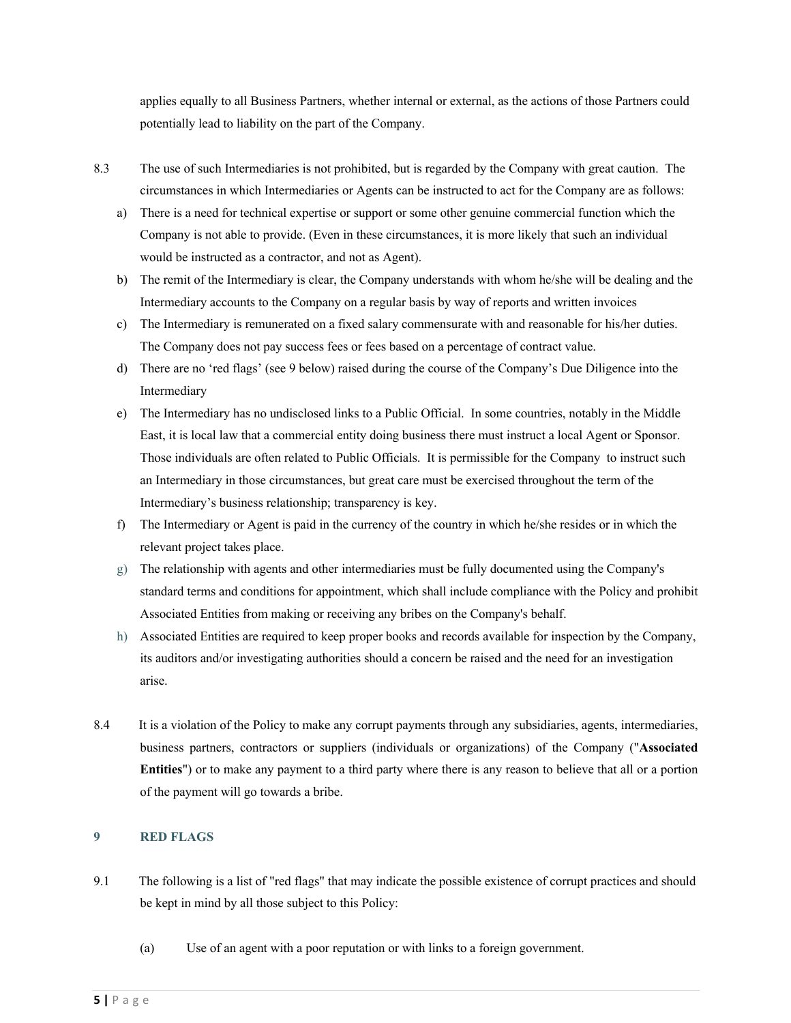applies equally to all Business Partners, whether internal or external, as the actions of those Partners could potentially lead to liability on the part of the Company.

- 8.3 The use of such Intermediaries is not prohibited, but is regarded by the Company with great caution. The circumstances in which Intermediaries or Agents can be instructed to act for the Company are as follows:
	- a) There is a need for technical expertise or support or some other genuine commercial function which the Company is not able to provide. (Even in these circumstances, it is more likely that such an individual would be instructed as a contractor, and not as Agent).
	- b) The remit of the Intermediary is clear, the Company understands with whom he/she will be dealing and the Intermediary accounts to the Company on a regular basis by way of reports and written invoices
	- c) The Intermediary is remunerated on a fixed salary commensurate with and reasonable for his/her duties. The Company does not pay success fees or fees based on a percentage of contract value.
	- d) There are no 'red flags' (see 9 below) raised during the course of the Company's Due Diligence into the Intermediary
	- e) The Intermediary has no undisclosed links to a Public Official. In some countries, notably in the Middle East, it is local law that a commercial entity doing business there must instruct a local Agent or Sponsor. Those individuals are often related to Public Officials. It is permissible for the Company to instruct such an Intermediary in those circumstances, but great care must be exercised throughout the term of the Intermediary's business relationship; transparency is key.
	- f) The Intermediary or Agent is paid in the currency of the country in which he/she resides or in which the relevant project takes place.
	- g) The relationship with agents and other intermediaries must be fully documented using the Company's standard terms and conditions for appointment, which shall include compliance with the Policy and prohibit Associated Entities from making or receiving any bribes on the Company's behalf.
	- h) Associated Entities are required to keep proper books and records available for inspection by the Company, its auditors and/or investigating authorities should a concern be raised and the need for an investigation arise.
- 8.4 It is a violation of the Policy to make any corrupt payments through any subsidiaries, agents, intermediaries, business partners, contractors or suppliers (individuals or organizations) of the Company ("**Associated Entities**") or to make any payment to a third party where there is any reason to believe that all or a portion of the payment will go towards a bribe.

# **9 RED FLAGS**

- 9.1 The following is a list of "red flags" that may indicate the possible existence of corrupt practices and should be kept in mind by all those subject to this Policy:
	- (a) Use of an agent with a poor reputation or with links to a foreign government.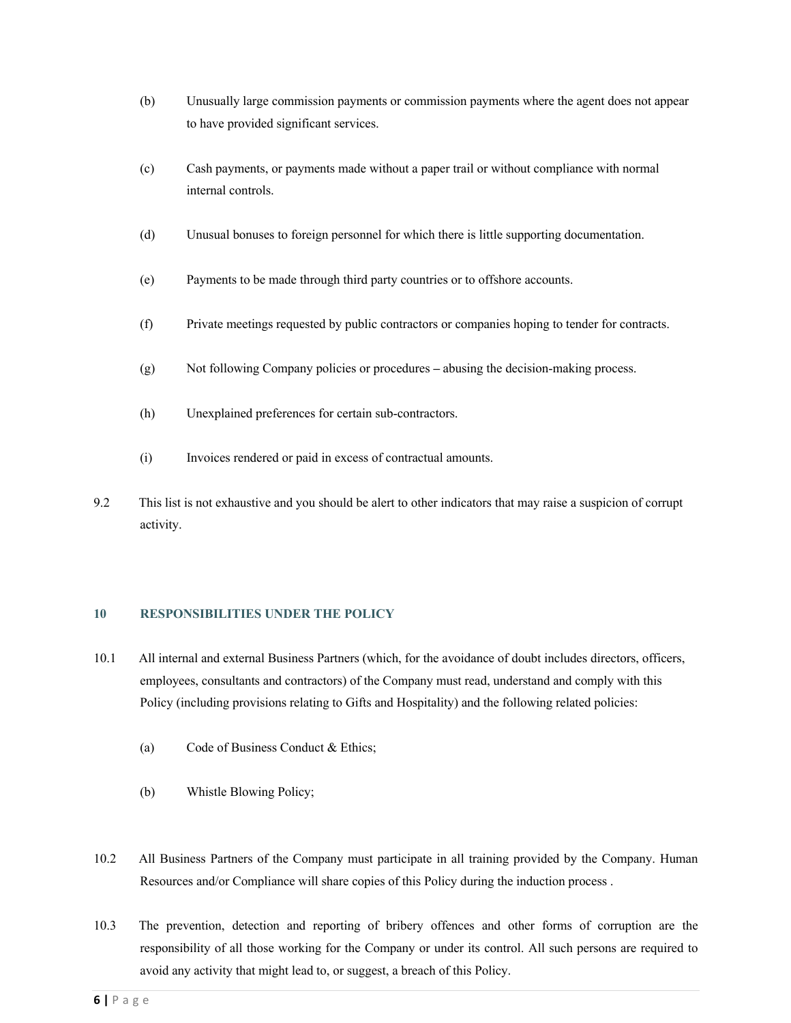- (b) Unusually large commission payments or commission payments where the agent does not appear to have provided significant services.
- (c) Cash payments, or payments made without a paper trail or without compliance with normal internal controls.
- (d) Unusual bonuses to foreign personnel for which there is little supporting documentation.
- (e) Payments to be made through third party countries or to offshore accounts.
- (f) Private meetings requested by public contractors or companies hoping to tender for contracts.
- (g) Not following Company policies or procedures **–** abusing the decision-making process.
- (h) Unexplained preferences for certain sub-contractors.
- (i) Invoices rendered or paid in excess of contractual amounts.
- 9.2 This list is not exhaustive and you should be alert to other indicators that may raise a suspicion of corrupt activity.

### **10 RESPONSIBILITIES UNDER THE POLICY**

- 10.1 All internal and external Business Partners (which, for the avoidance of doubt includes directors, officers, employees, consultants and contractors) of the Company must read, understand and comply with this Policy (including provisions relating to Gifts and Hospitality) and the following related policies:
	- (a) Code of Business Conduct & Ethics;
	- (b) Whistle Blowing Policy;
- 10.2 All Business Partners of the Company must participate in all training provided by the Company. Human Resources and/or Compliance will share copies of this Policy during the induction process .
- 10.3 The prevention, detection and reporting of bribery offences and other forms of corruption are the responsibility of all those working for the Company or under its control. All such persons are required to avoid any activity that might lead to, or suggest, a breach of this Policy.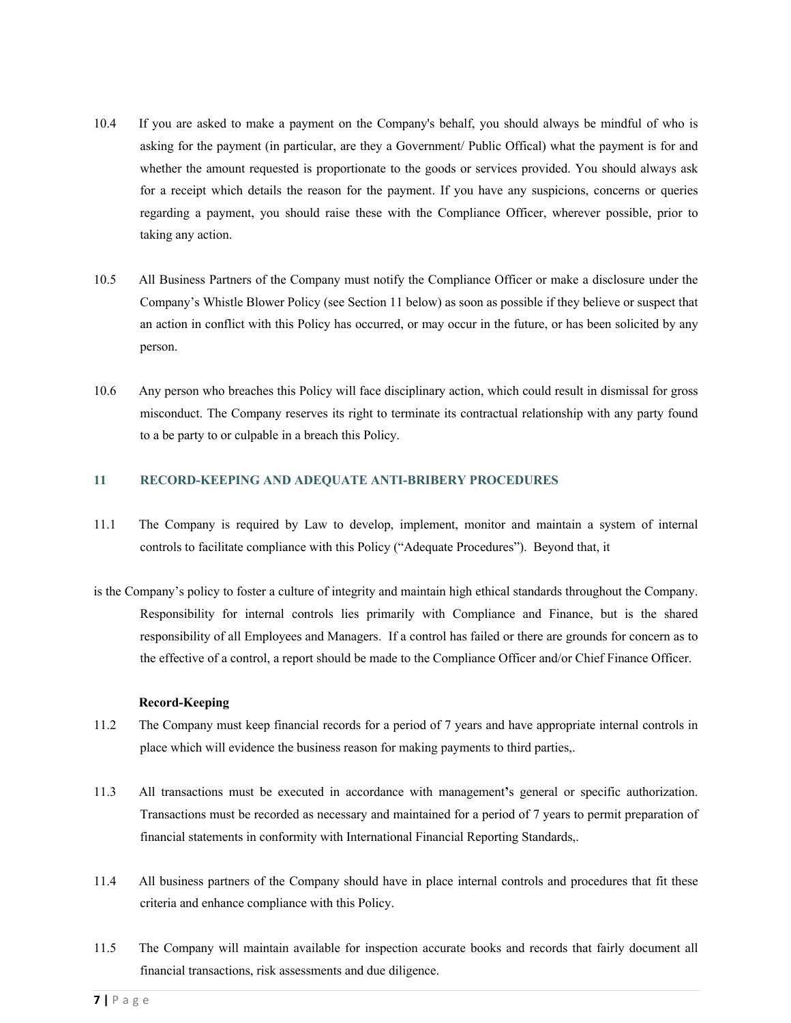- 10.4 If you are asked to make a payment on the Company's behalf, you should always be mindful of who is asking for the payment (in particular, are they a Government/ Public Offical) what the payment is for and whether the amount requested is proportionate to the goods or services provided. You should always ask for a receipt which details the reason for the payment. If you have any suspicions, concerns or queries regarding a payment, you should raise these with the Compliance Officer, wherever possible, prior to taking any action.
- 10.5 All Business Partners of the Company must notify the Compliance Officer or make a disclosure under the Company's Whistle Blower Policy (see Section 11 below) as soon as possible if they believe or suspect that an action in conflict with this Policy has occurred, or may occur in the future, or has been solicited by any person.
- 10.6 Any person who breaches this Policy will face disciplinary action, which could result in dismissal for gross misconduct. The Company reserves its right to terminate its contractual relationship with any party found to a be party to or culpable in a breach this Policy.

### **11 RECORD-KEEPING AND ADEQUATE ANTI-BRIBERY PROCEDURES**

- 11.1 The Company is required by Law to develop, implement, monitor and maintain a system of internal controls to facilitate compliance with this Policy ("Adequate Procedures"). Beyond that, it
- is the Company's policy to foster a culture of integrity and maintain high ethical standards throughout the Company. Responsibility for internal controls lies primarily with Compliance and Finance, but is the shared responsibility of all Employees and Managers. If a control has failed or there are grounds for concern as to the effective of a control, a report should be made to the Compliance Officer and/or Chief Finance Officer.

### **Record-Keeping**

- 11.2 The Company must keep financial records for a period of 7 years and have appropriate internal controls in place which will evidence the business reason for making payments to third parties,.
- 11.3 All transactions must be executed in accordance with management**'**s general or specific authorization. Transactions must be recorded as necessary and maintained for a period of 7 years to permit preparation of financial statements in conformity with International Financial Reporting Standards,.
- 11.4 All business partners of the Company should have in place internal controls and procedures that fit these criteria and enhance compliance with this Policy.
- 11.5 The Company will maintain available for inspection accurate books and records that fairly document all financial transactions, risk assessments and due diligence.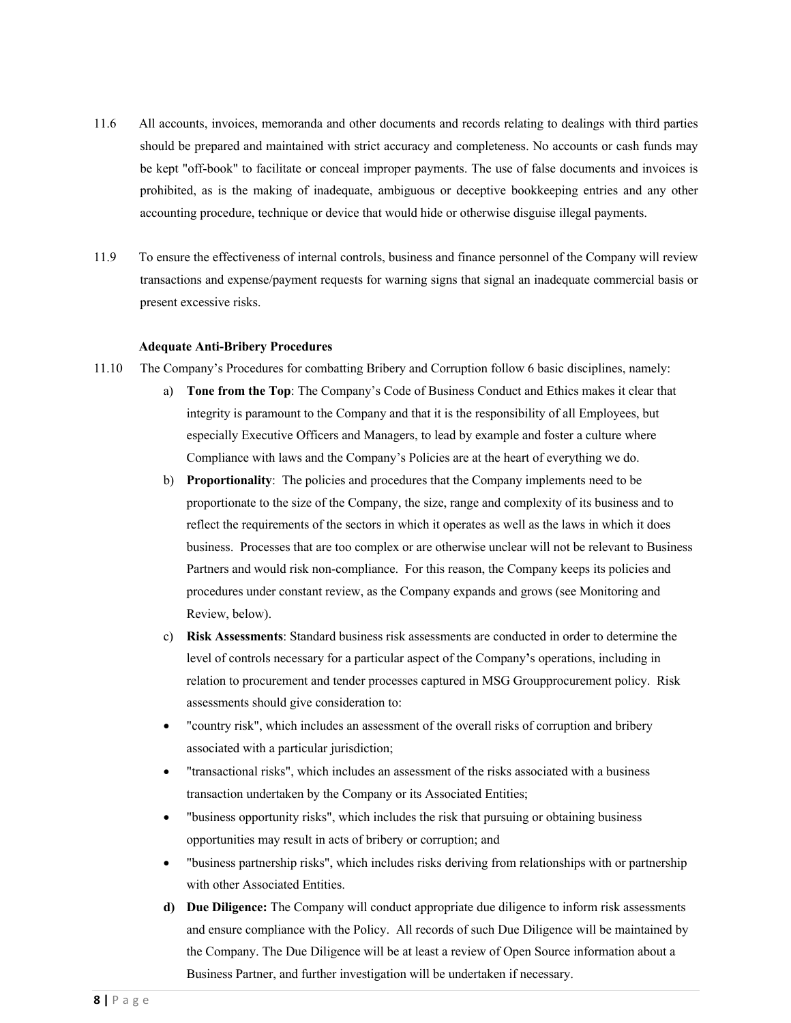- 11.6 All accounts, invoices, memoranda and other documents and records relating to dealings with third parties should be prepared and maintained with strict accuracy and completeness. No accounts or cash funds may be kept "off-book" to facilitate or conceal improper payments. The use of false documents and invoices is prohibited, as is the making of inadequate, ambiguous or deceptive bookkeeping entries and any other accounting procedure, technique or device that would hide or otherwise disguise illegal payments.
- 11.9 To ensure the effectiveness of internal controls, business and finance personnel of the Company will review transactions and expense/payment requests for warning signs that signal an inadequate commercial basis or present excessive risks.

#### **Adequate Anti-Bribery Procedures**

- 11.10 The Company's Procedures for combatting Bribery and Corruption follow 6 basic disciplines, namely:
	- a) **Tone from the Top**: The Company's Code of Business Conduct and Ethics makes it clear that integrity is paramount to the Company and that it is the responsibility of all Employees, but especially Executive Officers and Managers, to lead by example and foster a culture where Compliance with laws and the Company's Policies are at the heart of everything we do.
	- b) **Proportionality**: The policies and procedures that the Company implements need to be proportionate to the size of the Company, the size, range and complexity of its business and to reflect the requirements of the sectors in which it operates as well as the laws in which it does business. Processes that are too complex or are otherwise unclear will not be relevant to Business Partners and would risk non-compliance. For this reason, the Company keeps its policies and procedures under constant review, as the Company expands and grows (see Monitoring and Review, below).
	- c) **Risk Assessments**: Standard business risk assessments are conducted in order to determine the level of controls necessary for a particular aspect of the Company**'**s operations, including in relation to procurement and tender processes captured in MSG Groupprocurement policy. Risk assessments should give consideration to:
	- "country risk", which includes an assessment of the overall risks of corruption and bribery associated with a particular jurisdiction;
	- "transactional risks", which includes an assessment of the risks associated with a business transaction undertaken by the Company or its Associated Entities;
	- "business opportunity risks", which includes the risk that pursuing or obtaining business opportunities may result in acts of bribery or corruption; and
	- "business partnership risks", which includes risks deriving from relationships with or partnership with other Associated Entities.
	- **d) Due Diligence:** The Company will conduct appropriate due diligence to inform risk assessments and ensure compliance with the Policy. All records of such Due Diligence will be maintained by the Company. The Due Diligence will be at least a review of Open Source information about a Business Partner, and further investigation will be undertaken if necessary.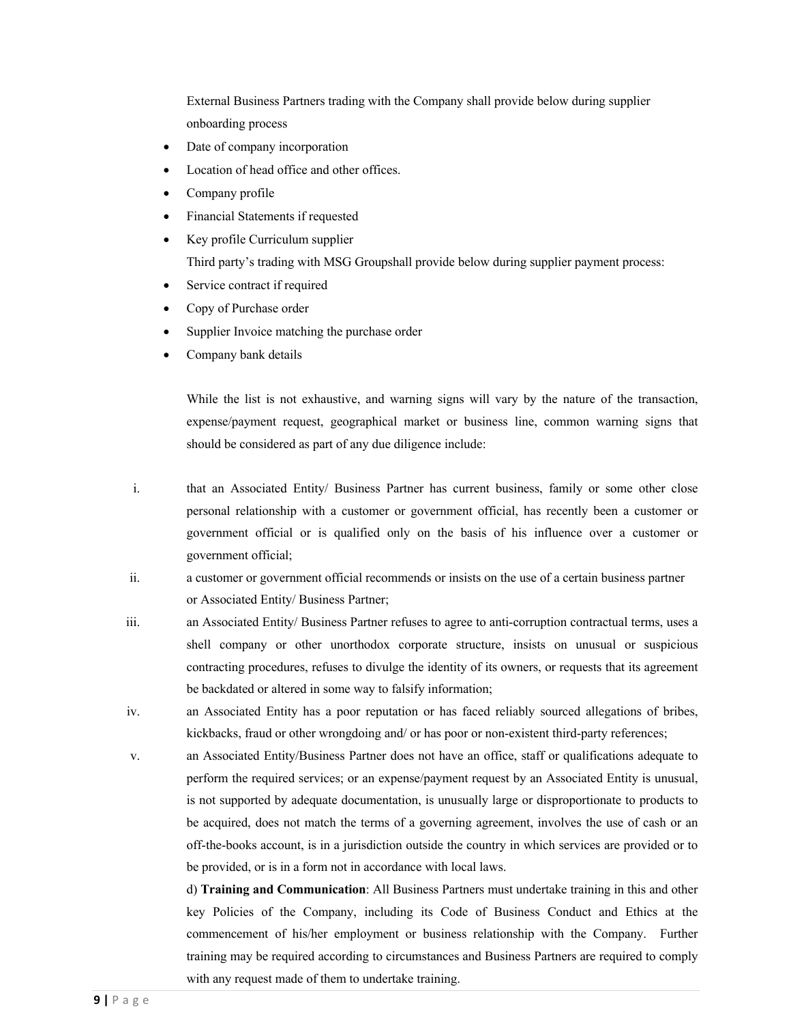External Business Partners trading with the Company shall provide below during supplier onboarding process

- Date of company incorporation
- Location of head office and other offices.
- Company profile
- Financial Statements if requested
- Key profile Curriculum supplier Third party's trading with MSG Groupshall provide below during supplier payment process:
- Service contract if required
- Copy of Purchase order
- Supplier Invoice matching the purchase order
- Company bank details

While the list is not exhaustive, and warning signs will vary by the nature of the transaction, expense/payment request, geographical market or business line, common warning signs that should be considered as part of any due diligence include:

i. that an Associated Entity/ Business Partner has current business, family or some other close personal relationship with a customer or government official, has recently been a customer or government official or is qualified only on the basis of his influence over a customer or government official;

ii. a customer or government official recommends or insists on the use of a certain business partner or Associated Entity/ Business Partner;

- iii. an Associated Entity/ Business Partner refuses to agree to anti-corruption contractual terms, uses a shell company or other unorthodox corporate structure, insists on unusual or suspicious contracting procedures, refuses to divulge the identity of its owners, or requests that its agreement be backdated or altered in some way to falsify information;
- iv. an Associated Entity has a poor reputation or has faced reliably sourced allegations of bribes, kickbacks, fraud or other wrongdoing and/ or has poor or non-existent third-party references;
- v. an Associated Entity/Business Partner does not have an office, staff or qualifications adequate to perform the required services; or an expense/payment request by an Associated Entity is unusual, is not supported by adequate documentation, is unusually large or disproportionate to products to be acquired, does not match the terms of a governing agreement, involves the use of cash or an off-the-books account, is in a jurisdiction outside the country in which services are provided or to be provided, or is in a form not in accordance with local laws.

d) **Training and Communication**: All Business Partners must undertake training in this and other key Policies of the Company, including its Code of Business Conduct and Ethics at the commencement of his/her employment or business relationship with the Company. Further training may be required according to circumstances and Business Partners are required to comply with any request made of them to undertake training.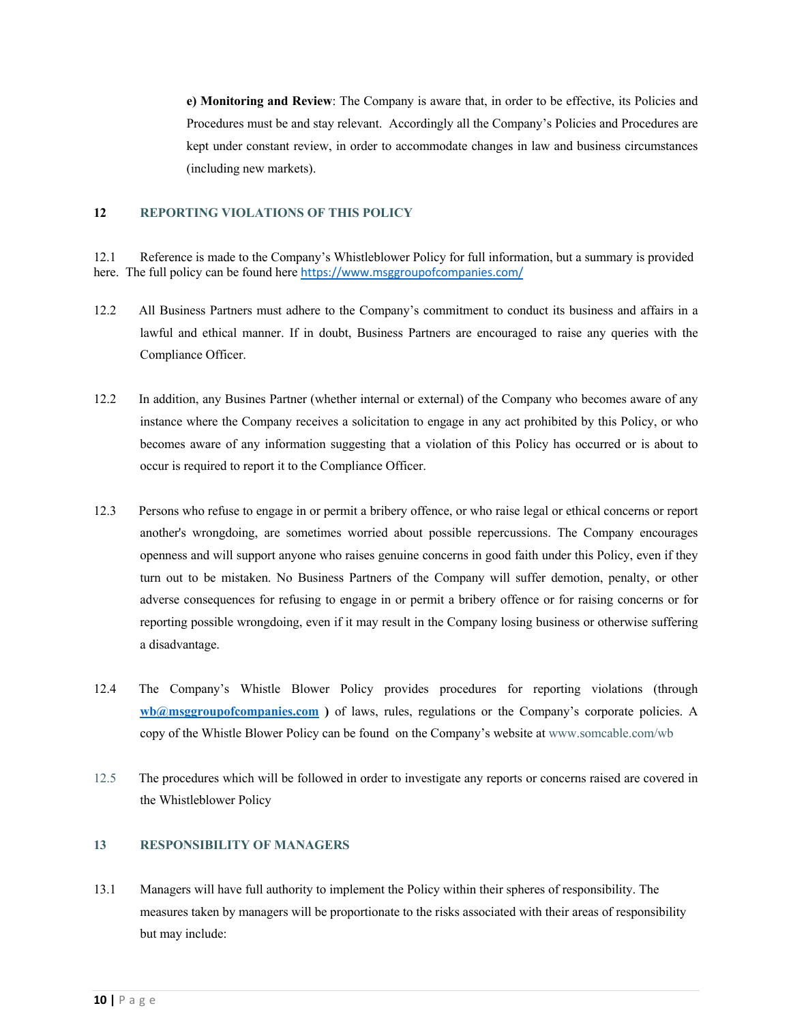**e) Monitoring and Review**: The Company is aware that, in order to be effective, its Policies and Procedures must be and stay relevant. Accordingly all the Company's Policies and Procedures are kept under constant review, in order to accommodate changes in law and business circumstances (including new markets).

#### **12 REPORTING VIOLATIONS OF THIS POLICY**

12.1 Reference is made to the Company's Whistleblower Policy for full information, but a summary is provided here. The full policy can be found here https://www.msggroupofcompanies.com/

- 12.2 All Business Partners must adhere to the Company's commitment to conduct its business and affairs in a lawful and ethical manner. If in doubt, Business Partners are encouraged to raise any queries with the Compliance Officer.
- 12.2 In addition, any Busines Partner (whether internal or external) of the Company who becomes aware of any instance where the Company receives a solicitation to engage in any act prohibited by this Policy, or who becomes aware of any information suggesting that a violation of this Policy has occurred or is about to occur is required to report it to the Compliance Officer.
- 12.3 Persons who refuse to engage in or permit a bribery offence, or who raise legal or ethical concerns or report another's wrongdoing, are sometimes worried about possible repercussions. The Company encourages openness and will support anyone who raises genuine concerns in good faith under this Policy, even if they turn out to be mistaken. No Business Partners of the Company will suffer demotion, penalty, or other adverse consequences for refusing to engage in or permit a bribery offence or for raising concerns or for reporting possible wrongdoing, even if it may result in the Company losing business or otherwise suffering a disadvantage.
- 12.4 The Company's Whistle Blower Policy provides procedures for reporting violations (through **wb@msggroupofcompanies.com )** of laws, rules, regulations or the Company's corporate policies. A copy of the Whistle Blower Policy can be found on the Company's website at www.somcable.com/wb
- 12.5 The procedures which will be followed in order to investigate any reports or concerns raised are covered in the Whistleblower Policy

## **13 RESPONSIBILITY OF MANAGERS**

13.1 Managers will have full authority to implement the Policy within their spheres of responsibility. The measures taken by managers will be proportionate to the risks associated with their areas of responsibility but may include: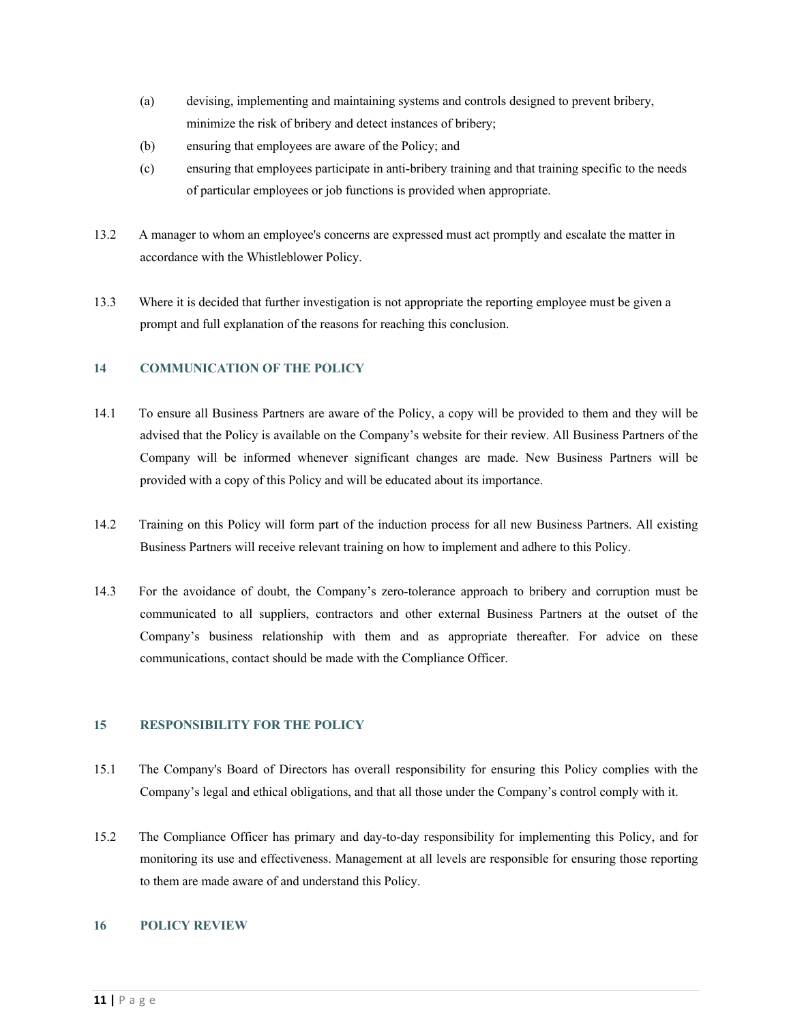- (a) devising, implementing and maintaining systems and controls designed to prevent bribery, minimize the risk of bribery and detect instances of bribery;
- (b) ensuring that employees are aware of the Policy; and
- (c) ensuring that employees participate in anti-bribery training and that training specific to the needs of particular employees or job functions is provided when appropriate.
- 13.2 A manager to whom an employee's concerns are expressed must act promptly and escalate the matter in accordance with the Whistleblower Policy.
- 13.3 Where it is decided that further investigation is not appropriate the reporting employee must be given a prompt and full explanation of the reasons for reaching this conclusion.

## **14 COMMUNICATION OF THE POLICY**

- 14.1 To ensure all Business Partners are aware of the Policy, a copy will be provided to them and they will be advised that the Policy is available on the Company's website for their review. All Business Partners of the Company will be informed whenever significant changes are made. New Business Partners will be provided with a copy of this Policy and will be educated about its importance.
- 14.2 Training on this Policy will form part of the induction process for all new Business Partners. All existing Business Partners will receive relevant training on how to implement and adhere to this Policy.
- 14.3 For the avoidance of doubt, the Company's zero-tolerance approach to bribery and corruption must be communicated to all suppliers, contractors and other external Business Partners at the outset of the Company's business relationship with them and as appropriate thereafter. For advice on these communications, contact should be made with the Compliance Officer.

# **15 RESPONSIBILITY FOR THE POLICY**

- 15.1 The Company's Board of Directors has overall responsibility for ensuring this Policy complies with the Company's legal and ethical obligations, and that all those under the Company's control comply with it.
- 15.2 The Compliance Officer has primary and day-to-day responsibility for implementing this Policy, and for monitoring its use and effectiveness. Management at all levels are responsible for ensuring those reporting to them are made aware of and understand this Policy.

## **16 POLICY REVIEW**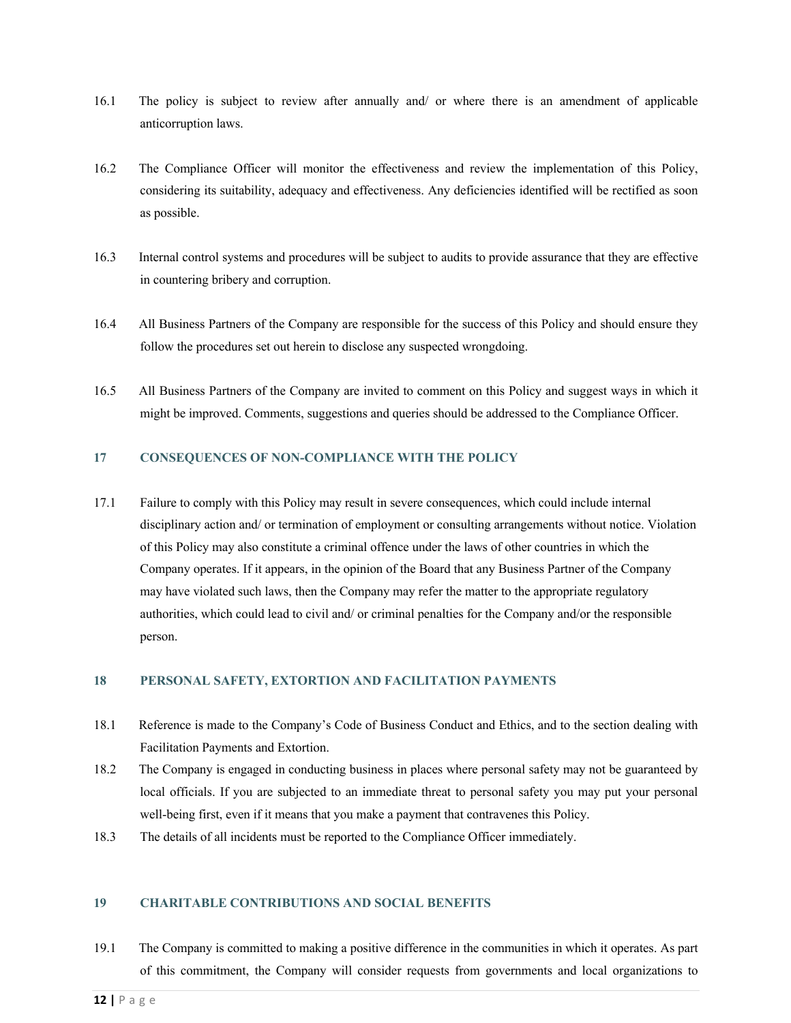- 16.1 The policy is subject to review after annually and/ or where there is an amendment of applicable anticorruption laws.
- 16.2 The Compliance Officer will monitor the effectiveness and review the implementation of this Policy, considering its suitability, adequacy and effectiveness. Any deficiencies identified will be rectified as soon as possible.
- 16.3 Internal control systems and procedures will be subject to audits to provide assurance that they are effective in countering bribery and corruption.
- 16.4 All Business Partners of the Company are responsible for the success of this Policy and should ensure they follow the procedures set out herein to disclose any suspected wrongdoing.
- 16.5 All Business Partners of the Company are invited to comment on this Policy and suggest ways in which it might be improved. Comments, suggestions and queries should be addressed to the Compliance Officer.

## **17 CONSEQUENCES OF NON-COMPLIANCE WITH THE POLICY**

17.1 Failure to comply with this Policy may result in severe consequences, which could include internal disciplinary action and/ or termination of employment or consulting arrangements without notice. Violation of this Policy may also constitute a criminal offence under the laws of other countries in which the Company operates. If it appears, in the opinion of the Board that any Business Partner of the Company may have violated such laws, then the Company may refer the matter to the appropriate regulatory authorities, which could lead to civil and/ or criminal penalties for the Company and/or the responsible person.

#### **18 PERSONAL SAFETY, EXTORTION AND FACILITATION PAYMENTS**

- 18.1 Reference is made to the Company's Code of Business Conduct and Ethics, and to the section dealing with Facilitation Payments and Extortion.
- 18.2 The Company is engaged in conducting business in places where personal safety may not be guaranteed by local officials. If you are subjected to an immediate threat to personal safety you may put your personal well-being first, even if it means that you make a payment that contravenes this Policy.
- 18.3 The details of all incidents must be reported to the Compliance Officer immediately.

#### **19 CHARITABLE CONTRIBUTIONS AND SOCIAL BENEFITS**

19.1 The Company is committed to making a positive difference in the communities in which it operates. As part of this commitment, the Company will consider requests from governments and local organizations to